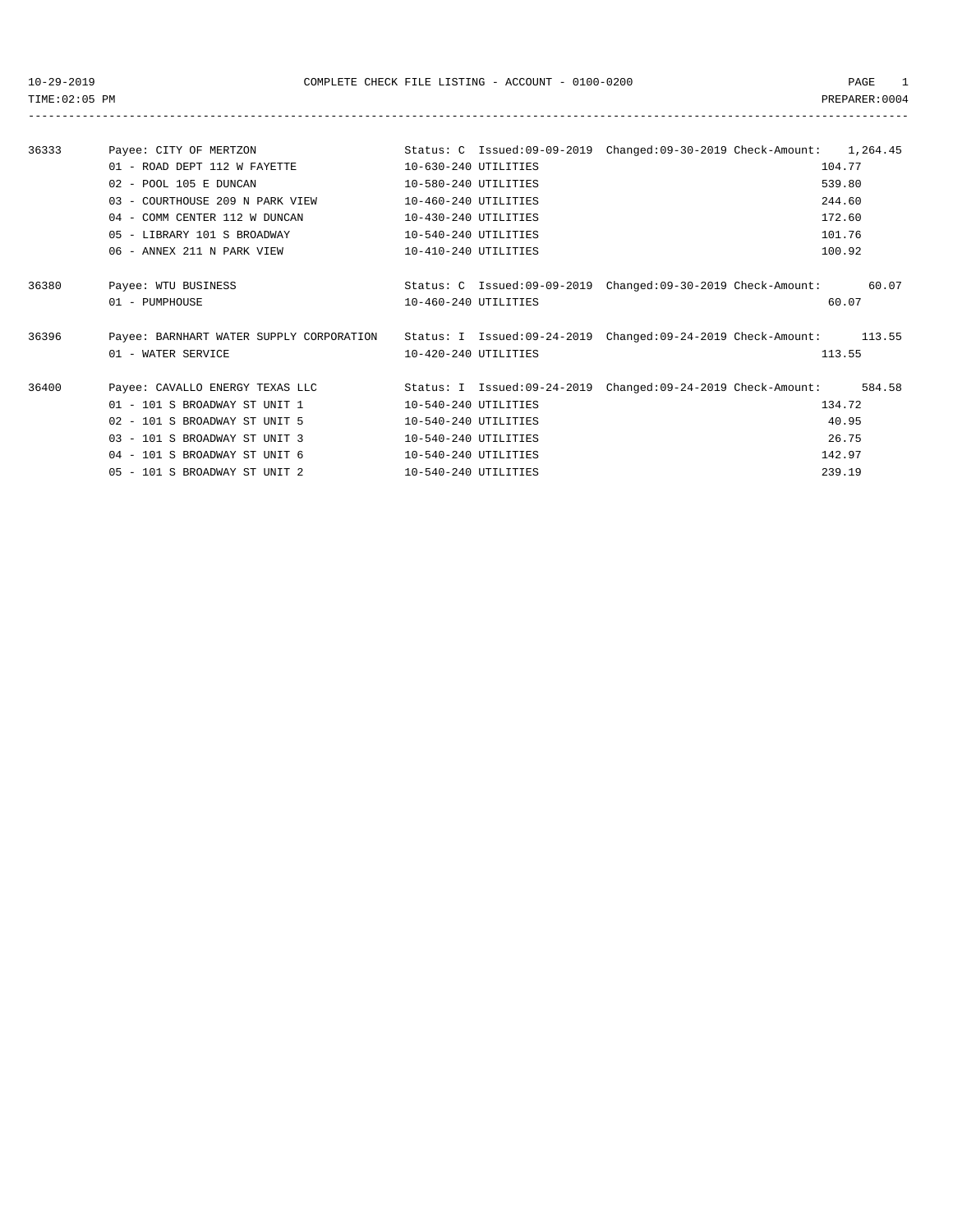TIME:02:05 PM PREPARER:0004 -----------------------------------------------------------------------------------------------------------------------------------

| 36333 | Payee: CITY OF MERTZON          |                            | Status: C Issued:09-09-2019 Changed:09-30-2019 Check-Amount:<br>1,264.45 |  |
|-------|---------------------------------|----------------------------|--------------------------------------------------------------------------|--|
|       | $01$ - ROAD DEPT 112 W FAYETTE  | $10 - 630 - 240$ UTILITIES | 104.77                                                                   |  |
|       | 02 - POOL 105 E DUNCAN          | 10-580-240 UTILITIES       | 539.80                                                                   |  |
|       | 03 - COURTHOUSE 209 N PARK VIEW | $10 - 460 - 240$ UTILITIES | 244.60                                                                   |  |
|       | 04 - COMM CENTER 112 W DINCAN   | $10-430-240$ UTILITIES     | 172.60                                                                   |  |
|       | 05 - LIBRARY 101 S BROADWAY     | $10 - 540 - 240$ UTILITIES | 101.76                                                                   |  |
|       | 06 - ANNEX 211 N PARK VIEW      | $10-410-240$ UTILITIES     | 100.92                                                                   |  |

| 36380 | Payee: WTU BUSINESS<br>01 - PUMPHOUSE                              | 10-460-240 UTILITIES | Status: C Issued:09-09-2019 Changed:09-30-2019 Check-Amount: | 60.07<br>60.07   |
|-------|--------------------------------------------------------------------|----------------------|--------------------------------------------------------------|------------------|
| 36396 | Payee: BARNHART WATER SUPPLY CORPORATION<br>01 - WATER SERVICE     | 10-420-240 UTILITIES | Status: I Issued:09-24-2019 Changed:09-24-2019 Check-Amount: | 113.55<br>113.55 |
| 36400 | Payee: CAVALLO ENERGY TEXAS LLC<br>$01 - 101$ S BROADWAY ST UNIT 1 | 10-540-240 UTILITIES | Status: I Issued:09-24-2019 Changed:09-24-2019 Check-Amount: | 584.58<br>134.72 |

| - - - - | tara anthropometers and the second the second state of the second state of the second state of the second state |                      | ---    |
|---------|-----------------------------------------------------------------------------------------------------------------|----------------------|--------|
|         | 01 - 101 S BROADWAY ST UNIT 1                                                                                   | 10-540-240 UTILITIES | 134.72 |
|         | 02 - 101 S BROADWAY ST UNIT 5                                                                                   | 10-540-240 UTILITIES | 40.95  |
|         | 03 - 101 S BROADWAY ST UNIT 3                                                                                   | 10-540-240 UTILITIES | 26.75  |
|         | 04 - 101 S BROADWAY ST UNIT 6                                                                                   | 10-540-240 UTILITIES | 142.97 |
|         | 05 - 101 S BROADWAY ST UNIT 2                                                                                   | 10-540-240 UTILITIES | 239.19 |
|         |                                                                                                                 |                      |        |